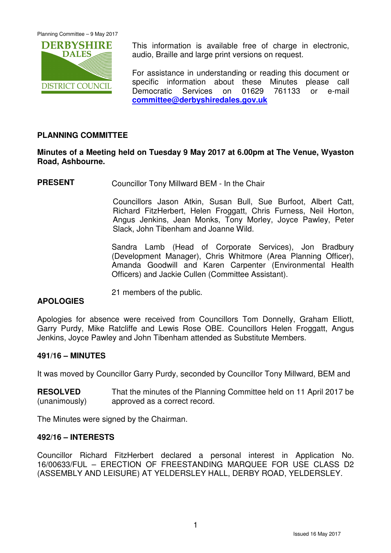Planning Committee – 9 May 2017



This information is available free of charge in electronic, audio, Braille and large print versions on request.

For assistance in understanding or reading this document or specific information about these Minutes please call Democratic Services on 01629 761133 or e-mail **committee@derbyshiredales.gov.uk**

# **PLANNING COMMITTEE**

# **Minutes of a Meeting held on Tuesday 9 May 2017 at 6.00pm at The Venue, Wyaston Road, Ashbourne.**

**PRESENT** Councillor Tony Millward BEM - In the Chair

 Councillors Jason Atkin, Susan Bull, Sue Burfoot, Albert Catt, Richard FitzHerbert, Helen Froggatt, Chris Furness, Neil Horton, Angus Jenkins, Jean Monks, Tony Morley, Joyce Pawley, Peter Slack, John Tibenham and Joanne Wild.

Sandra Lamb (Head of Corporate Services), Jon Bradbury (Development Manager), Chris Whitmore (Area Planning Officer), Amanda Goodwill and Karen Carpenter (Environmental Health Officers) and Jackie Cullen (Committee Assistant).

21 members of the public.

## **APOLOGIES**

Apologies for absence were received from Councillors Tom Donnelly, Graham Elliott, Garry Purdy, Mike Ratcliffe and Lewis Rose OBE. Councillors Helen Froggatt, Angus Jenkins, Joyce Pawley and John Tibenham attended as Substitute Members.

## **491/16 – MINUTES**

It was moved by Councillor Garry Purdy, seconded by Councillor Tony Millward, BEM and

**RESOLVED** (unanimously) That the minutes of the Planning Committee held on 11 April 2017 be approved as a correct record.

The Minutes were signed by the Chairman.

### **492/16 – INTERESTS**

Councillor Richard FitzHerbert declared a personal interest in Application No. 16/00633/FUL – ERECTION OF FREESTANDING MARQUEE FOR USE CLASS D2 (ASSEMBLY AND LEISURE) AT YELDERSLEY HALL, DERBY ROAD, YELDERSLEY.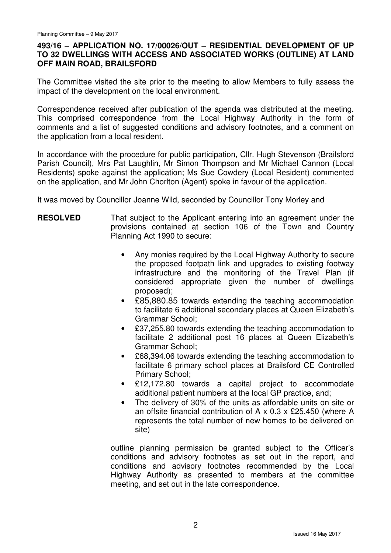## **493/16 – APPLICATION NO. 17/00026/OUT – RESIDENTIAL DEVELOPMENT OF UP TO 32 DWELLINGS WITH ACCESS AND ASSOCIATED WORKS (OUTLINE) AT LAND OFF MAIN ROAD, BRAILSFORD**

The Committee visited the site prior to the meeting to allow Members to fully assess the impact of the development on the local environment.

Correspondence received after publication of the agenda was distributed at the meeting. This comprised correspondence from the Local Highway Authority in the form of comments and a list of suggested conditions and advisory footnotes, and a comment on the application from a local resident.

In accordance with the procedure for public participation, Cllr. Hugh Stevenson (Brailsford Parish Council), Mrs Pat Laughlin, Mr Simon Thompson and Mr Michael Cannon (Local Residents) spoke against the application; Ms Sue Cowdery (Local Resident) commented on the application, and Mr John Chorlton (Agent) spoke in favour of the application.

It was moved by Councillor Joanne Wild, seconded by Councillor Tony Morley and

### **RESOLVED** That subject to the Applicant entering into an agreement under the provisions contained at section 106 of the Town and Country Planning Act 1990 to secure:

- Any monies required by the Local Highway Authority to secure the proposed footpath link and upgrades to existing footway infrastructure and the monitoring of the Travel Plan (if considered appropriate given the number of dwellings proposed);
- £85,880.85 towards extending the teaching accommodation to facilitate 6 additional secondary places at Queen Elizabeth's Grammar School;
- £37,255.80 towards extending the teaching accommodation to facilitate 2 additional post 16 places at Queen Elizabeth's Grammar School;
- £68,394.06 towards extending the teaching accommodation to facilitate 6 primary school places at Brailsford CE Controlled Primary School;
- £12,172.80 towards a capital project to accommodate additional patient numbers at the local GP practice, and;
- The delivery of 30% of the units as affordable units on site or an offsite financial contribution of A x 0.3 x £25,450 (where A represents the total number of new homes to be delivered on site)

outline planning permission be granted subject to the Officer's conditions and advisory footnotes as set out in the report, and conditions and advisory footnotes recommended by the Local Highway Authority as presented to members at the committee meeting, and set out in the late correspondence.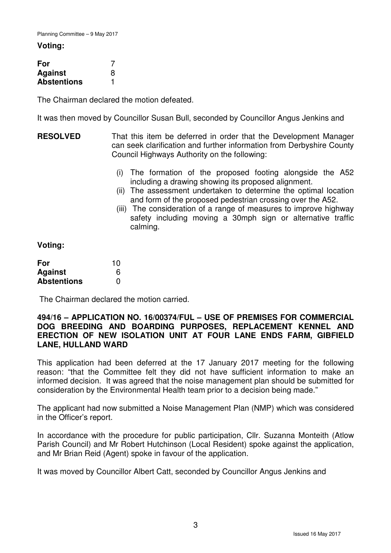#### **Voting:**

| For                |   |
|--------------------|---|
| <b>Against</b>     | 8 |
| <b>Abstentions</b> |   |

The Chairman declared the motion defeated.

It was then moved by Councillor Susan Bull, seconded by Councillor Angus Jenkins and

- **RESOLVED** That this item be deferred in order that the Development Manager can seek clarification and further information from Derbyshire County Council Highways Authority on the following:
	- (i) The formation of the proposed footing alongside the A52 including a drawing showing its proposed alignment.
	- (ii) The assessment undertaken to determine the optimal location and form of the proposed pedestrian crossing over the A52.
	- (iii) The consideration of a range of measures to improve highway safety including moving a 30mph sign or alternative traffic calming.

**Voting:** 

| For                | 10 |
|--------------------|----|
| <b>Against</b>     | 6  |
| <b>Abstentions</b> | 0  |

The Chairman declared the motion carried.

## **494/16 – APPLICATION NO. 16/00374/FUL – USE OF PREMISES FOR COMMERCIAL DOG BREEDING AND BOARDING PURPOSES, REPLACEMENT KENNEL AND ERECTION OF NEW ISOLATION UNIT AT FOUR LANE ENDS FARM, GIBFIELD LANE, HULLAND WARD**

This application had been deferred at the 17 January 2017 meeting for the following reason: "that the Committee felt they did not have sufficient information to make an informed decision. It was agreed that the noise management plan should be submitted for consideration by the Environmental Health team prior to a decision being made."

The applicant had now submitted a Noise Management Plan (NMP) which was considered in the Officer's report.

In accordance with the procedure for public participation, Cllr. Suzanna Monteith (Atlow Parish Council) and Mr Robert Hutchinson (Local Resident) spoke against the application, and Mr Brian Reid (Agent) spoke in favour of the application.

It was moved by Councillor Albert Catt, seconded by Councillor Angus Jenkins and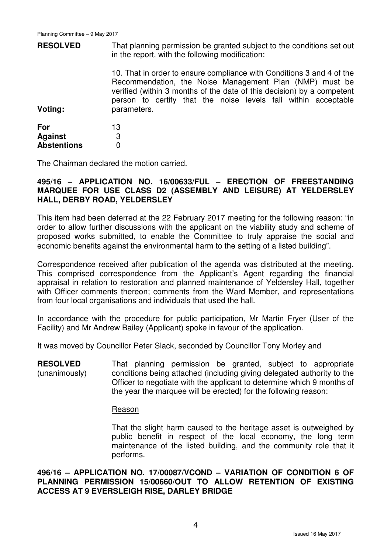| <b>RESOLVED</b>       | That planning permission be granted subject to the conditions set out<br>in the report, with the following modification:                                                                                                                                                                    |  |  |
|-----------------------|---------------------------------------------------------------------------------------------------------------------------------------------------------------------------------------------------------------------------------------------------------------------------------------------|--|--|
| Voting:               | 10. That in order to ensure compliance with Conditions 3 and 4 of the<br>Recommendation, the Noise Management Plan (NMP) must be<br>verified (within 3 months of the date of this decision) by a competent<br>person to certify that the noise levels fall within acceptable<br>parameters. |  |  |
| For<br><b>Against</b> | 13<br>3                                                                                                                                                                                                                                                                                     |  |  |
| <b>Abstentions</b>    | 0                                                                                                                                                                                                                                                                                           |  |  |

The Chairman declared the motion carried.

## **495/16 – APPLICATION NO. 16/00633/FUL – ERECTION OF FREESTANDING MARQUEE FOR USE CLASS D2 (ASSEMBLY AND LEISURE) AT YELDERSLEY HALL, DERBY ROAD, YELDERSLEY**

This item had been deferred at the 22 February 2017 meeting for the following reason: "in order to allow further discussions with the applicant on the viability study and scheme of proposed works submitted, to enable the Committee to truly appraise the social and economic benefits against the environmental harm to the setting of a listed building".

Correspondence received after publication of the agenda was distributed at the meeting. This comprised correspondence from the Applicant's Agent regarding the financial appraisal in relation to restoration and planned maintenance of Yeldersley Hall, together with Officer comments thereon; comments from the Ward Member, and representations from four local organisations and individuals that used the hall.

In accordance with the procedure for public participation, Mr Martin Fryer (User of the Facility) and Mr Andrew Bailey (Applicant) spoke in favour of the application.

It was moved by Councillor Peter Slack, seconded by Councillor Tony Morley and

**RESOLVED** (unanimously) That planning permission be granted, subject to appropriate conditions being attached (including giving delegated authority to the Officer to negotiate with the applicant to determine which 9 months of the year the marquee will be erected) for the following reason:

### Reason

That the slight harm caused to the heritage asset is outweighed by public benefit in respect of the local economy, the long term maintenance of the listed building, and the community role that it performs.

**496/16 – APPLICATION NO. 17/00087/VCOND – VARIATION OF CONDITION 6 OF PLANNING PERMISSION 15/00660/OUT TO ALLOW RETENTION OF EXISTING ACCESS AT 9 EVERSLEIGH RISE, DARLEY BRIDGE**